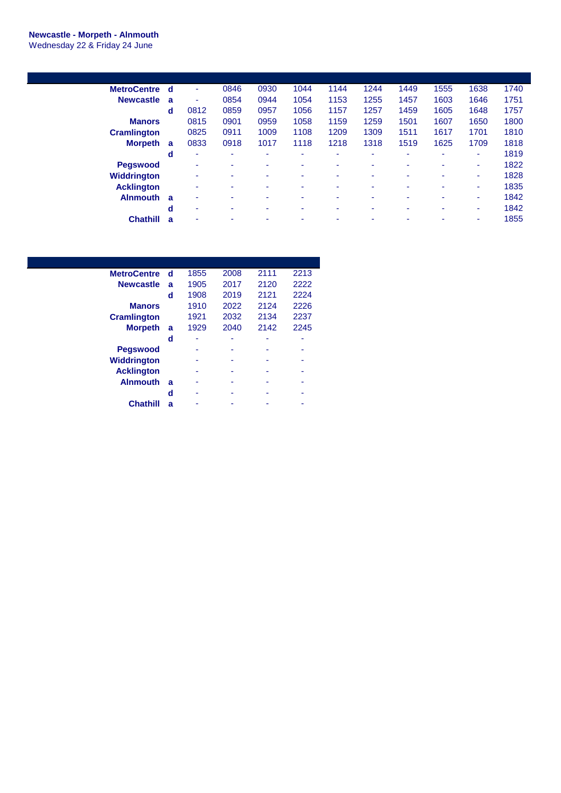## **Newcastle - Morpeth - Alnmouth**

Wednesday 22 & Friday 24 June

| <b>MetroCentre</b> | d | ٠                        | 0846 | 0930 | 1044 | 1144 | 1244                     | 1449 | 1555 | 1638 | 1740 |
|--------------------|---|--------------------------|------|------|------|------|--------------------------|------|------|------|------|
| <b>Newcastle</b>   | a | ٠                        | 0854 | 0944 | 1054 | 1153 | 1255                     | 1457 | 1603 | 1646 | 1751 |
|                    | d | 0812                     | 0859 | 0957 | 1056 | 1157 | 1257                     | 1459 | 1605 | 1648 | 1757 |
| <b>Manors</b>      |   | 0815                     | 0901 | 0959 | 1058 | 1159 | 1259                     | 1501 | 1607 | 1650 | 1800 |
| <b>Cramlington</b> |   | 0825                     | 0911 | 1009 | 1108 | 1209 | 1309                     | 1511 | 1617 | 1701 | 1810 |
| <b>Morpeth</b>     | a | 0833                     | 0918 | 1017 | 1118 | 1218 | 1318                     | 1519 | 1625 | 1709 | 1818 |
|                    | d | ٠                        | ۰    |      |      | -    | ۰                        | -    | ۰    | ۰    | 1819 |
| <b>Pegswood</b>    |   | ٠                        | ۰    | ۰    |      | ۰    | ۰                        | ۰    | ۰    | ٠    | 1822 |
| <b>Widdrington</b> |   | $\overline{\phantom{a}}$ | ٠    | ۰    | ۰.   | -    | $\overline{\phantom{0}}$ | ٠    | ٠    | ٠    | 1828 |
| <b>Acklington</b>  |   | $\overline{\phantom{a}}$ | ۰    | ۰    |      | -    | ۰                        | ۰    |      | ۰    | 1835 |
| <b>Alnmouth</b>    | a | ٠                        | ٠    |      |      |      | ٠                        |      |      | ۰    | 1842 |
|                    | d | $\overline{\phantom{a}}$ | ۰    | ۰    | ۰    | ۰    | ۰                        | ۰    | ۰    | ۰    | 1842 |
| <b>Chathill</b>    | a |                          | ۰    |      |      |      | ۰                        |      |      | ۰    | 1855 |

| <b>MetroCentre</b> | d | 1855 | 2008 | 2111 | 2213 |
|--------------------|---|------|------|------|------|
| <b>Newcastle</b>   | a | 1905 | 2017 | 2120 | 2222 |
|                    | d | 1908 | 2019 | 2121 | 2224 |
| <b>Manors</b>      |   | 1910 | 2022 | 2124 | 2226 |
| <b>Cramlington</b> |   | 1921 | 2032 | 2134 | 2237 |
| <b>Morpeth</b>     | a | 1929 | 2040 | 2142 | 2245 |
|                    | d | ۰    | ۰    | ۰    | -    |
| <b>Pegswood</b>    |   |      |      |      |      |
| <b>Widdrington</b> |   |      |      |      |      |
| <b>Acklington</b>  |   | ۰    | ۰    |      |      |
| <b>Alnmouth</b>    | a |      |      |      |      |
|                    | d |      |      |      |      |
| <b>Chathill</b>    | a |      |      |      |      |